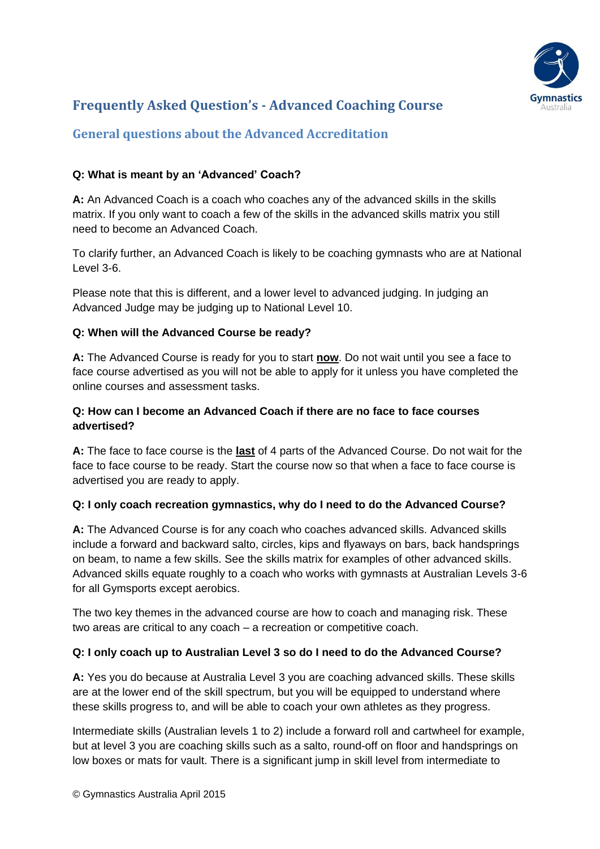

# **Frequently Asked Question's - Advanced Coaching Course**

# **General questions about the Advanced Accreditation**

## **Q: What is meant by an 'Advanced' Coach?**

**A:** An Advanced Coach is a coach who coaches any of the advanced skills in the skills matrix. If you only want to coach a few of the skills in the advanced skills matrix you still need to become an Advanced Coach.

To clarify further, an Advanced Coach is likely to be coaching gymnasts who are at National Level 3-6.

Please note that this is different, and a lower level to advanced judging. In judging an Advanced Judge may be judging up to National Level 10.

### **Q: When will the Advanced Course be ready?**

**A:** The Advanced Course is ready for you to start **now**. Do not wait until you see a face to face course advertised as you will not be able to apply for it unless you have completed the online courses and assessment tasks.

### **Q: How can I become an Advanced Coach if there are no face to face courses advertised?**

**A:** The face to face course is the **last** of 4 parts of the Advanced Course. Do not wait for the face to face course to be ready. Start the course now so that when a face to face course is advertised you are ready to apply.

### **Q: I only coach recreation gymnastics, why do I need to do the Advanced Course?**

**A:** The Advanced Course is for any coach who coaches advanced skills. Advanced skills include a forward and backward salto, circles, kips and flyaways on bars, back handsprings on beam, to name a few skills. See the skills matrix for examples of other advanced skills. Advanced skills equate roughly to a coach who works with gymnasts at Australian Levels 3-6 for all Gymsports except aerobics.

The two key themes in the advanced course are how to coach and managing risk. These two areas are critical to any coach – a recreation or competitive coach.

### **Q: I only coach up to Australian Level 3 so do I need to do the Advanced Course?**

**A:** Yes you do because at Australia Level 3 you are coaching advanced skills. These skills are at the lower end of the skill spectrum, but you will be equipped to understand where these skills progress to, and will be able to coach your own athletes as they progress.

Intermediate skills (Australian levels 1 to 2) include a forward roll and cartwheel for example, but at level 3 you are coaching skills such as a salto, round-off on floor and handsprings on low boxes or mats for vault. There is a significant jump in skill level from intermediate to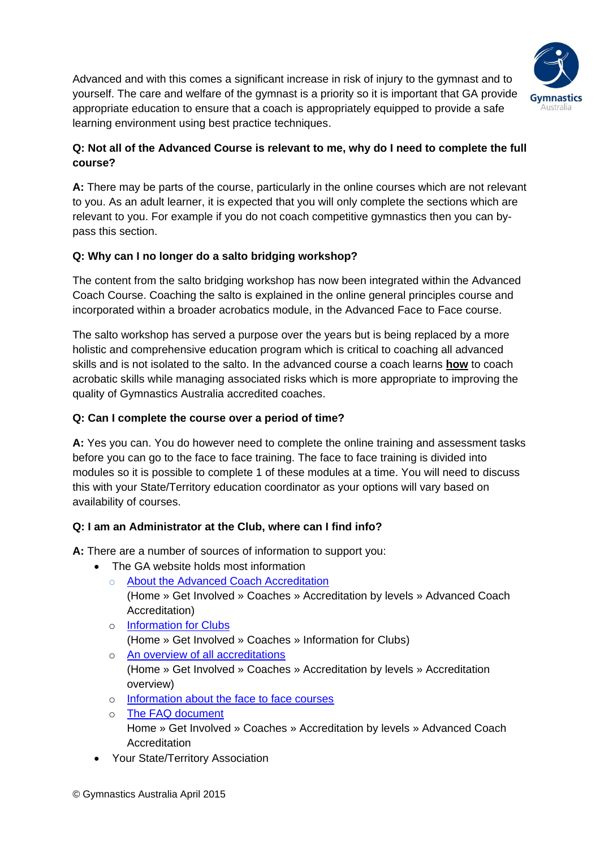

Advanced and with this comes a significant increase in risk of injury to the gymnast and to yourself. The care and welfare of the gymnast is a priority so it is important that GA provide appropriate education to ensure that a coach is appropriately equipped to provide a safe learning environment using best practice techniques.

## **Q: Not all of the Advanced Course is relevant to me, why do I need to complete the full course?**

**A:** There may be parts of the course, particularly in the online courses which are not relevant to you. As an adult learner, it is expected that you will only complete the sections which are relevant to you. For example if you do not coach competitive gymnastics then you can bypass this section.

## **Q: Why can I no longer do a salto bridging workshop?**

The content from the salto bridging workshop has now been integrated within the Advanced Coach Course. Coaching the salto is explained in the online general principles course and incorporated within a broader acrobatics module, in the Advanced Face to Face course.

The salto workshop has served a purpose over the years but is being replaced by a more holistic and comprehensive education program which is critical to coaching all advanced skills and is not isolated to the salto. In the advanced course a coach learns **how** to coach acrobatic skills while managing associated risks which is more appropriate to improving the quality of Gymnastics Australia accredited coaches.

## **Q: Can I complete the course over a period of time?**

**A:** Yes you can. You do however need to complete the online training and assessment tasks before you can go to the face to face training. The face to face training is divided into modules so it is possible to complete 1 of these modules at a time. You will need to discuss this with your State/Territory education coordinator as your options will vary based on availability of courses.

## **Q: I am an Administrator at the Club, where can I find info?**

**A:** There are a number of sources of information to support you:

- The GA website holds most information
	- o [About the Advanced Coach Accreditation](http://www.gymnastics.org.au/page.php?id=1003) [\(Home](http://www.gymnastics.org.au/) » [Get Involved](http://www.gymnastics.org.au/get-involved.html) » [Coaches](http://www.gymnastics.org.au/coaches.html) » [Accreditation by levels](http://www.gymnastics.org.au/coach-accreditation.html) » [Advanced Coach](http://www.gymnastics.org.au/page.php?id=1003)  [Accreditation\)](http://www.gymnastics.org.au/page.php?id=1003)
	- o [Information for Clubs](http://www.gymnastics.org.au/coach-clubs.html) [\(Home](http://www.gymnastics.org.au/) » [Get Involved](http://www.gymnastics.org.au/get-involved.html) » [Coaches](http://www.gymnastics.org.au/coaches.html) » [Information for Clubs\)](http://www.gymnastics.org.au/coach-clubs.html)
	- o [An overview of all accreditations](http://www.gymnastics.org.au/page.php?id=1033) [\(Home](http://www.gymnastics.org.au/) » [Get Involved](http://www.gymnastics.org.au/get-involved.html) » [Coaches](http://www.gymnastics.org.au/coaches.html) » [Accreditation by levels](http://www.gymnastics.org.au/coach-accreditation.html) » [Accreditation](http://www.gymnastics.org.au/page.php?id=1033)  [overview\)](http://www.gymnastics.org.au/page.php?id=1033)
	- o [Information about the face to face courses](https://dl.dropboxusercontent.com/u/78559832/ADV_F2F_Assessment/Advanced_F2F_Coaching_Information.pdf)
	- o [The FAQ document](http://www.gymnastics.org.au/visageimages/Get_Involved/Coaches/Accreditation_by_level/Advanced_Accreditation/FAQ%20Advanced%20Coach%20v3.pdf) [Home](http://www.gymnastics.org.au/) » [Get Involved](http://www.gymnastics.org.au/get-involved.html) » [Coaches](http://www.gymnastics.org.au/coaches.html) » [Accreditation by levels](http://www.gymnastics.org.au/coach-accreditation.html) » [Advanced Coach](http://www.gymnastics.org.au/page.php?id=1003)  [Accreditation](http://www.gymnastics.org.au/page.php?id=1003)
- Your State/Territory Association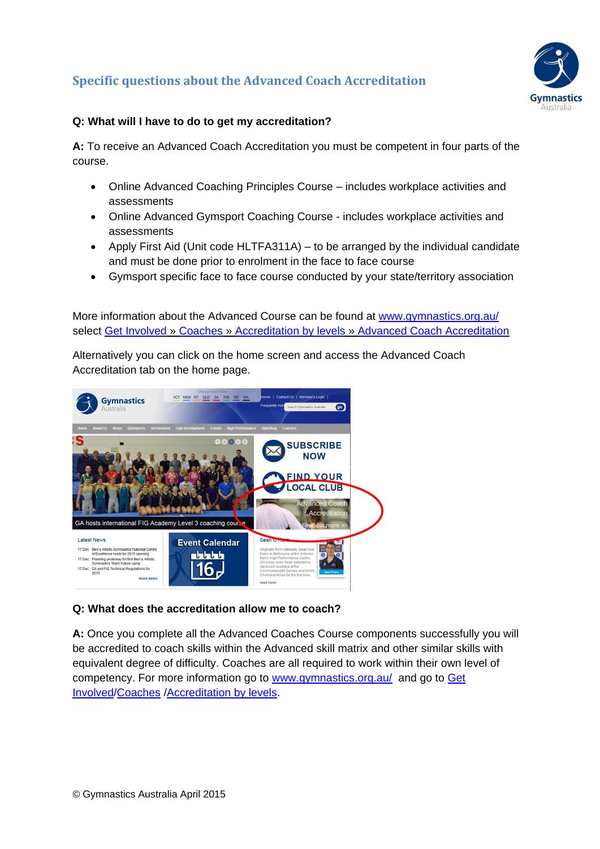# **Specific questions about the Advanced Coach Accreditation**



## **Q: What will I have to do to get my accreditation?**

**A:** To receive an Advanced Coach Accreditation you must be competent in four parts of the course.

- Online Advanced Coaching Principles Course includes workplace activities and assessments
- Online Advanced Gymsport Coaching Course includes workplace activities and assessments
- Apply First Aid (Unit code HLTFA311A) to be arranged by the individual candidate and must be done prior to enrolment in the face to face course
- Gymsport specific face to face course conducted by your state/territory association

More information about the Advanced Course can be found at [www.gymnastics.org.au/](http://www.gymnastics.org.au/) select [Get Involved](http://gymnastics.org.au/get-involved.html) » [Coaches](http://gymnastics.org.au/coaches.html) » [Accreditation by levels](http://gymnastics.org.au/coach-accreditation.html) » [Advanced Coach Accreditation](http://gymnastics.org.au/page.php?id=1003)

Alternatively you can click on the home screen and access the Advanced Coach Accreditation tab on the home page.



### **Q: What does the accreditation allow me to coach?**

**A:** Once you complete all the Advanced Coaches Course components successfully you will be accredited to coach skills within the Advanced skill matrix and other similar skills with equivalent degree of difficulty. Coaches are all required to work within their own level of competency. For more information go to [www.gymnastics.org.au/](http://www.gymnastics.org.au/) and go to Get [Involved/](http://www.gymnastics.org.au/get-involved.html)[Coaches](http://www.gymnastics.org.au/coaches.html) [/Accreditation by levels.](http://www.gymnastics.org.au/coach-accreditation.html)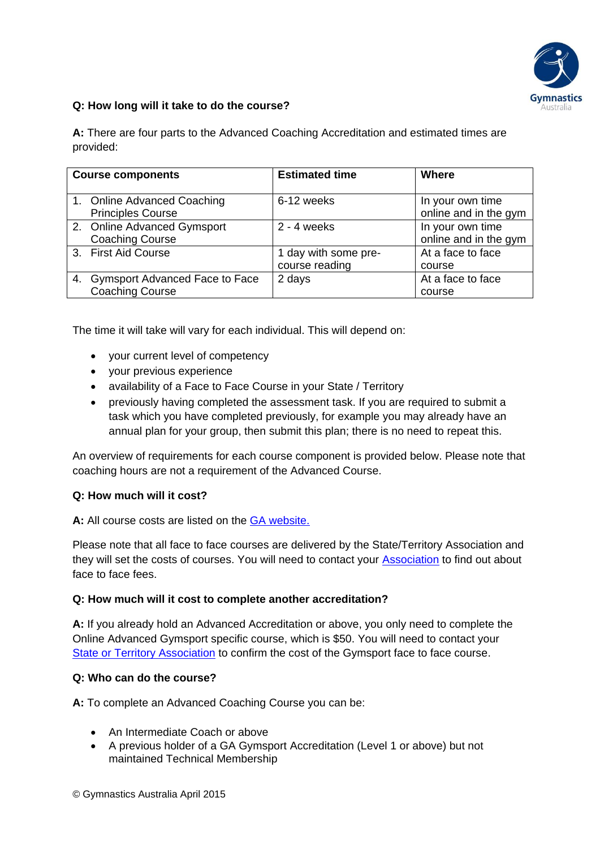

#### **Q: How long will it take to do the course?**

**A:** There are four parts to the Advanced Coaching Accreditation and estimated times are provided:

| <b>Course components</b> |                                                             | <b>Estimated time</b>                  | <b>Where</b>                              |
|--------------------------|-------------------------------------------------------------|----------------------------------------|-------------------------------------------|
|                          | 1. Online Advanced Coaching<br><b>Principles Course</b>     | 6-12 weeks                             | In your own time<br>online and in the gym |
|                          | 2. Online Advanced Gymsport<br><b>Coaching Course</b>       | $2 - 4$ weeks                          | In your own time<br>online and in the gym |
|                          | 3. First Aid Course                                         | 1 day with some pre-<br>course reading | At a face to face<br>course               |
|                          | 4. Gymsport Advanced Face to Face<br><b>Coaching Course</b> | 2 days                                 | At a face to face<br>course               |

The time it will take will vary for each individual. This will depend on:

- your current level of competency
- your previous experience
- availability of a Face to Face Course in your State / Territory
- previously having completed the assessment task. If you are required to submit a task which you have completed previously, for example you may already have an annual plan for your group, then submit this plan; there is no need to repeat this.

An overview of requirements for each course component is provided below. Please note that coaching hours are not a requirement of the Advanced Course.

#### **Q: How much will it cost?**

**A:** All course costs are listed on the [GA website.](file://GAHODCFP01V/data/education/22%20Website/Coaches/3.%20Accreditations%20by%20levels/04.%20Advanced%20Accreditation/Word%20docs/(http:/www.gymnastics.org.au/visageimages/Get_Involved/Coaches/Accreditation_by_level/Accreditation_Overview/Coach%20Accreditation%20Course%20Fees.pdf))

Please note that all face to face courses are delivered by the State/Territory Association and they will set the costs of courses. You will need to contact your [Association](http://www.gymnastics.org.au/state-association-members.html) to find out about face to face fees.

#### **Q: How much will it cost to complete another accreditation?**

**A:** If you already hold an Advanced Accreditation or above, you only need to complete the Online Advanced Gymsport specific course, which is \$50. You will need to contact your [State or Territory Association](http://www.gymnastics.org.au/state-association-members.html) to confirm the cost of the Gymsport face to face course.

#### **Q: Who can do the course?**

**A:** To complete an Advanced Coaching Course you can be:

- An Intermediate Coach or above
- A previous holder of a GA Gymsport Accreditation (Level 1 or above) but not maintained Technical Membership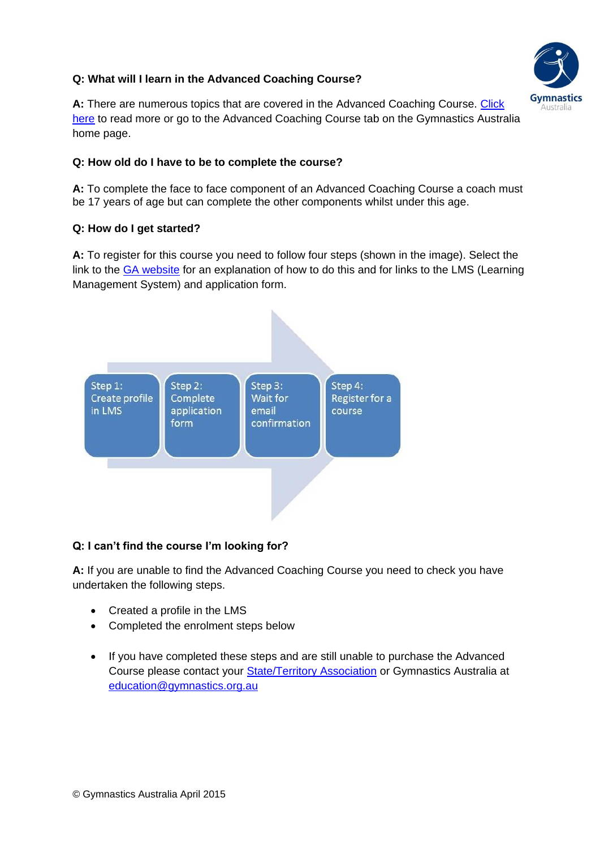## **Q: What will I learn in the Advanced Coaching Course?**



**A:** There are numerous topics that are covered in the Advanced Coaching Course. [Click](http://www.gymnastics.org.au/visageimages/Get_Involved/Coaches/Accreditation_by_level/Advanced_Accreditation/Advanced%20Coaching%20Course%20Content%20v%202.pdf)  [here](http://www.gymnastics.org.au/visageimages/Get_Involved/Coaches/Accreditation_by_level/Advanced_Accreditation/Advanced%20Coaching%20Course%20Content%20v%202.pdf) to read more or go to the Advanced Coaching Course tab on the Gymnastics Australia home page.

## **Q: How old do I have to be to complete the course?**

**A:** To complete the face to face component of an Advanced Coaching Course a coach must be 17 years of age but can complete the other components whilst under this age.

### **Q: How do I get started?**

**A:** To register for this course you need to follow four steps (shown in the image). Select the link to the [GA website](http://www.gymnastics.org.au/visageimages/Get_Involved/Coaches/Accreditation_by_level/Advanced_Accreditation/How%20to%20register%20for%20an%20Advanced%20Course%20v3.pdf) for an explanation of how to do this and for links to the LMS (Learning Management System) and application form.



## **Q: I can't find the course I'm looking for?**

**A:** If you are unable to find the Advanced Coaching Course you need to check you have undertaken the following steps.

- Created a profile in the LMS
- Completed the enrolment steps below
- If you have completed these steps and are still unable to purchase the Advanced Course please contact your [State/Territory Association](http://www.gymnastics.org.au/state-association-members.html) or Gymnastics Australia at [education@gymnastics.org.au](mailto:education@gymnastics.org.au)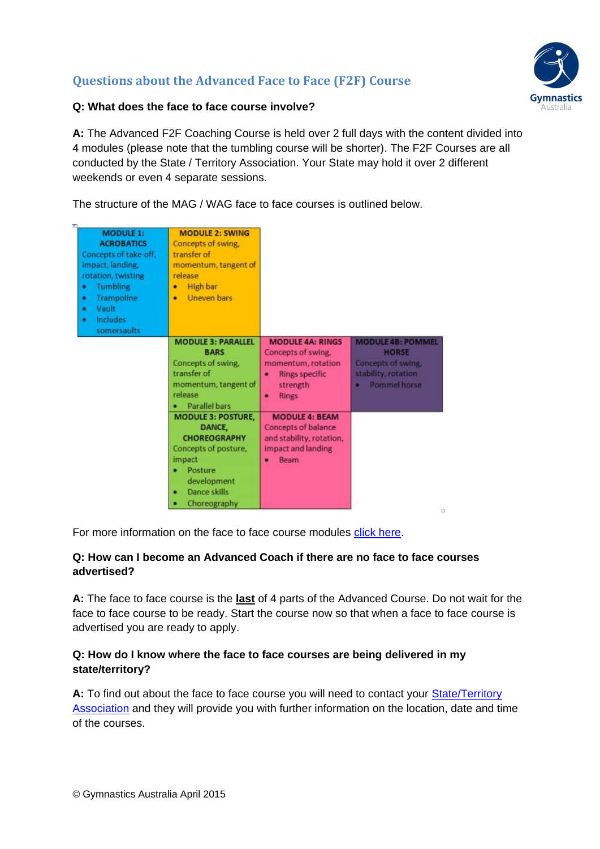# **Questions about the Advanced Face to Face (F2F) Course**



## **Q: What does the face to face course involve?**

**A:** The Advanced F2F Coaching Course is held over 2 full days with the content divided into 4 modules (please note that the tumbling course will be shorter). The F2F Courses are all conducted by the State / Territory Association. Your State may hold it over 2 different weekends or even 4 separate sessions.

The structure of the MAG / WAG face to face courses is outlined below.

| <b>MODULE 1:</b><br><b>ACROBATICS</b><br>Concepts of take-off,<br>impact, landing,<br>rotation, twisting<br>Tumbling<br>٠<br>Trampoline<br>٠<br>Vault<br>٠<br><b>Includes</b><br>٠<br>somersaults | <b>MODULE 2: SWING</b><br>Concepts of swing,<br>transfer of<br>momentum, tangent of<br>release<br><b>High bar</b><br>٠<br>Uneven bars<br>٠                         |                                                                                                                             |                                                                                                       |
|---------------------------------------------------------------------------------------------------------------------------------------------------------------------------------------------------|--------------------------------------------------------------------------------------------------------------------------------------------------------------------|-----------------------------------------------------------------------------------------------------------------------------|-------------------------------------------------------------------------------------------------------|
|                                                                                                                                                                                                   | <b>MODULE 3: PARALLEL</b><br><b>BARS</b><br>Concepts of swing.<br>transfer of<br>momentum, tangent of<br>release<br><b>Parallel bars</b>                           | <b>MODULE 4A: RINGS</b><br>Concepts of swing,<br>momentum, rotation<br>Rings specific<br>۰<br>strength<br><b>Rings</b><br>۰ | <b>MODULE 4B: POMMEL</b><br><b>HORSE</b><br>Concepts of swing.<br>stability, rotation<br>Pommel horse |
|                                                                                                                                                                                                   | <b>MODULE 3: POSTURE,</b><br>DANCE.<br><b>CHOREOGRAPHY</b><br>Concepts of posture,<br>impact<br>Posture<br>development<br><b>Dance skills</b><br>٠<br>Choreography | <b>MODULE 4: BEAM</b><br>Concepts of balance<br>and stability, rotation,<br>impact and landing<br><b>Beam</b>               | $\Box$                                                                                                |

For more information on the face to face course modules [click here.](https://dl.dropboxusercontent.com/u/78559832/ADV_F2F_Assessment/Advanced_F2F_Coaching_Information.pdf)

## **Q: How can I become an Advanced Coach if there are no face to face courses advertised?**

**A:** The face to face course is the **last** of 4 parts of the Advanced Course. Do not wait for the face to face course to be ready. Start the course now so that when a face to face course is advertised you are ready to apply.

## **Q: How do I know where the face to face courses are being delivered in my state/territory?**

A: To find out about the face to face course you will need to contact your State/Territory [Association](http://www.gymnastics.org.au/state-association-members.html) and they will provide you with further information on the location, date and time of the courses.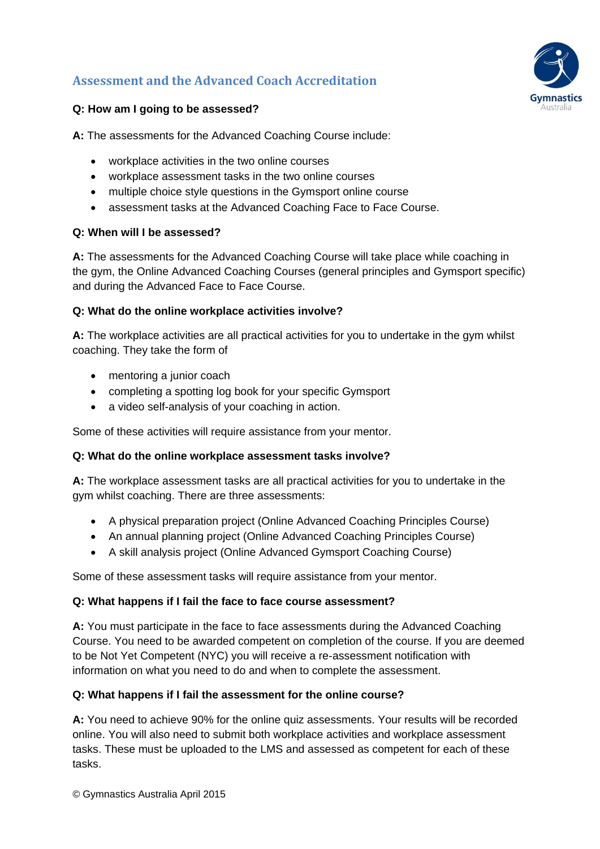# **Assessment and the Advanced Coach Accreditation**



## **Q: How am I going to be assessed?**

**A:** The assessments for the Advanced Coaching Course include:

- workplace activities in the two online courses
- workplace assessment tasks in the two online courses
- multiple choice style questions in the Gymsport online course
- assessment tasks at the Advanced Coaching Face to Face Course.

## **Q: When will I be assessed?**

**A:** The assessments for the Advanced Coaching Course will take place while coaching in the gym, the Online Advanced Coaching Courses (general principles and Gymsport specific) and during the Advanced Face to Face Course.

## **Q: What do the online workplace activities involve?**

**A:** The workplace activities are all practical activities for you to undertake in the gym whilst coaching. They take the form of

- mentoring a junior coach
- completing a spotting log book for your specific Gymsport
- a video self-analysis of your coaching in action.

Some of these activities will require assistance from your mentor.

### **Q: What do the online workplace assessment tasks involve?**

**A:** The workplace assessment tasks are all practical activities for you to undertake in the gym whilst coaching. There are three assessments:

- A physical preparation project (Online Advanced Coaching Principles Course)
- An annual planning project (Online Advanced Coaching Principles Course)
- A skill analysis project (Online Advanced Gymsport Coaching Course)

Some of these assessment tasks will require assistance from your mentor.

### **Q: What happens if I fail the face to face course assessment?**

**A:** You must participate in the face to face assessments during the Advanced Coaching Course. You need to be awarded competent on completion of the course. If you are deemed to be Not Yet Competent (NYC) you will receive a re-assessment notification with information on what you need to do and when to complete the assessment.

### **Q: What happens if I fail the assessment for the online course?**

**A:** You need to achieve 90% for the online quiz assessments. Your results will be recorded online. You will also need to submit both workplace activities and workplace assessment tasks. These must be uploaded to the LMS and assessed as competent for each of these tasks.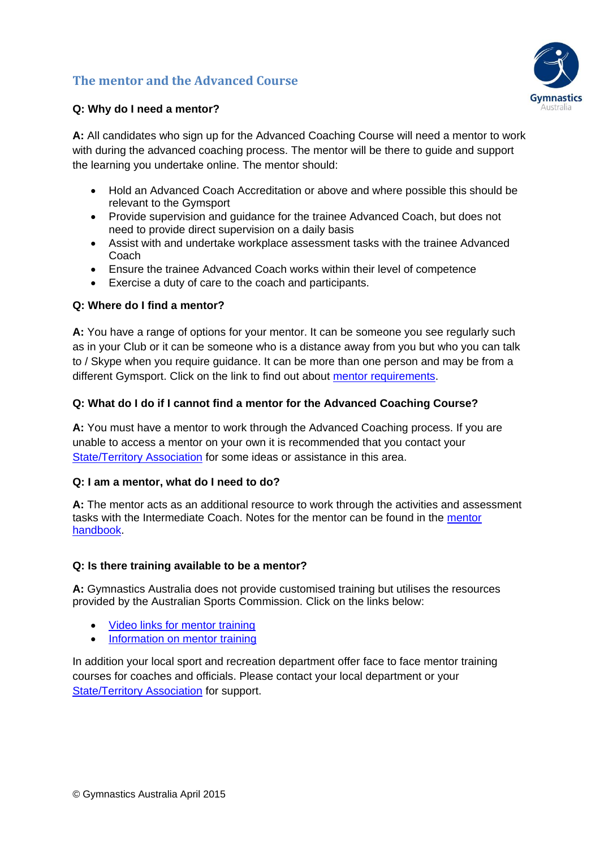## **The mentor and the Advanced Course**



### **Q: Why do I need a mentor?**

**A:** All candidates who sign up for the Advanced Coaching Course will need a mentor to work with during the advanced coaching process. The mentor will be there to guide and support the learning you undertake online. The mentor should:

- Hold an Advanced Coach Accreditation or above and where possible this should be relevant to the Gymsport
- Provide supervision and guidance for the trainee Advanced Coach, but does not need to provide direct supervision on a daily basis
- Assist with and undertake workplace assessment tasks with the trainee Advanced Coach
- Ensure the trainee Advanced Coach works within their level of competence
- Exercise a duty of care to the coach and participants.

#### **Q: Where do I find a mentor?**

**A:** You have a range of options for your mentor. It can be someone you see regularly such as in your Club or it can be someone who is a distance away from you but who you can talk to / Skype when you require guidance. It can be more than one person and may be from a different Gymsport. Click on the link to find out about [mentor requirements.](http://www.gymnastics.org.au/visageimages/Get_Involved/Coaches/Rules_and_Regs_for_Coaches/Supervision_and_mentoring/Mentor_Requirements.pdf)

#### **Q: What do I do if I cannot find a mentor for the Advanced Coaching Course?**

**A:** You must have a mentor to work through the Advanced Coaching process. If you are unable to access a mentor on your own it is recommended that you contact your [State/Territory Association](http://www.gymnastics.org.au/state-association-members.html) for some ideas or assistance in this area.

#### **Q: I am a mentor, what do I need to do?**

**A:** The mentor acts as an additional resource to work through the activities and assessment tasks with the Intermediate Coach. Notes for the mentor can be found in the [mentor](https://dl.dropboxusercontent.com/u/78559832/adv_cpc/UNIT_1/ADV_CPC_Assessment_Task_Mentor_handbook.pdf)  [handbook.](https://dl.dropboxusercontent.com/u/78559832/adv_cpc/UNIT_1/ADV_CPC_Assessment_Task_Mentor_handbook.pdf)

#### **Q: Is there training available to be a mentor?**

**A:** Gymnastics Australia does not provide customised training but utilises the resources provided by the Australian Sports Commission. Click on the links below:

- [Video links for mentor training](http://www.ausport.gov.au/participating/coaches/videos/mentor_training)
- [Information on mentor training](http://www.ausport.gov.au/participating/coachofficial/presenter/Mentor)

In addition your local sport and recreation department offer face to face mentor training courses for coaches and officials. Please contact your local department or your [State/Territory Association](http://www.gymnastics.org.au/state-association-members.html) for support.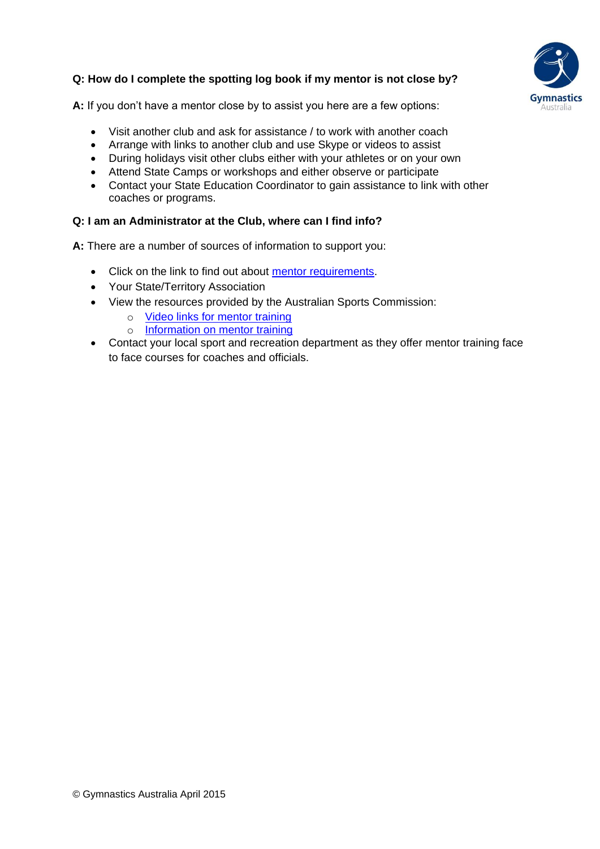## **Q: How do I complete the spotting log book if my mentor is not close by?**



**A:** If you don't have a mentor close by to assist you here are a few options:

- Visit another club and ask for assistance / to work with another coach
- Arrange with links to another club and use Skype or videos to assist
- During holidays visit other clubs either with your athletes or on your own
- Attend State Camps or workshops and either observe or participate
- Contact your State Education Coordinator to gain assistance to link with other coaches or programs.

#### **Q: I am an Administrator at the Club, where can I find info?**

**A:** There are a number of sources of information to support you:

- Click on the link to find out about [mentor requirements.](http://www.gymnastics.org.au/visageimages/Get_Involved/Coaches/Rules_and_Regs_for_Coaches/Supervision_and_mentoring/Mentor_Requirements.pdf)
- Your State/Territory Association
- View the resources provided by the Australian Sports Commission:
	- o [Video links for mentor training](http://www.ausport.gov.au/participating/coaches/videos/mentor_training)
	- o [Information on mentor training](http://www.ausport.gov.au/participating/coachofficial/presenter/Mentor)
- Contact your local sport and recreation department as they offer mentor training face to face courses for coaches and officials.